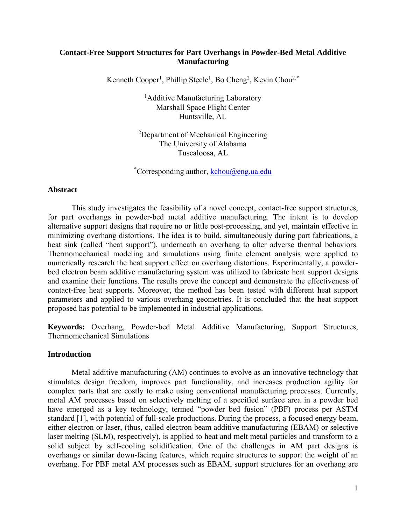# **Contact-Free Support Structures for Part Overhangs in Powder-Bed Metal Additive Manufacturing**

Kenneth Cooper<sup>1</sup>, Phillip Steele<sup>1</sup>, Bo Cheng<sup>2</sup>, Kevin Chou<sup>2,\*</sup>

<sup>1</sup>Additive Manufacturing Laboratory Marshall Space Flight Center Huntsville, AL

2 Department of Mechanical Engineering The University of Alabama Tuscaloosa, AL

\*Corresponding author, kchou@eng.ua.edu

#### **Abstract**

This study investigates the feasibility of a novel concept, contact-free support structures, for part overhangs in powder-bed metal additive manufacturing. The intent is to develop alternative support designs that require no or little post-processing, and yet, maintain effective in minimizing overhang distortions. The idea is to build, simultaneously during part fabrications, a heat sink (called "heat support"), underneath an overhang to alter adverse thermal behaviors. Thermomechanical modeling and simulations using finite element analysis were applied to numerically research the heat support effect on overhang distortions. Experimentally, a powderbed electron beam additive manufacturing system was utilized to fabricate heat support designs and examine their functions. The results prove the concept and demonstrate the effectiveness of contact-free heat supports. Moreover, the method has been tested with different heat support parameters and applied to various overhang geometries. It is concluded that the heat support proposed has potential to be implemented in industrial applications.

**Keywords:** Overhang, Powder-bed Metal Additive Manufacturing, Support Structures, Thermomechanical Simulations

#### **Introduction**

Metal additive manufacturing (AM) continues to evolve as an innovative technology that stimulates design freedom, improves part functionality, and increases production agility for complex parts that are costly to make using conventional manufacturing processes. Currently, metal AM processes based on selectively melting of a specified surface area in a powder bed have emerged as a key technology, termed "powder bed fusion" (PBF) process per ASTM standard [1], with potential of full-scale productions. During the process, a focused energy beam, either electron or laser, (thus, called electron beam additive manufacturing (EBAM) or selective laser melting (SLM), respectively), is applied to heat and melt metal particles and transform to a solid subject by self-cooling solidification. One of the challenges in AM part designs is overhangs or similar down-facing features, which require structures to support the weight of an overhang. For PBF metal AM processes such as EBAM, support structures for an overhang are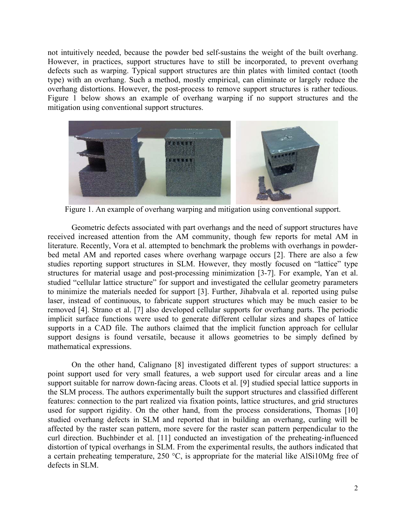not intuitively needed, because the powder bed self-sustains the weight of the built overhang. However, in practices, support structures have to still be incorporated, to prevent overhang defects such as warping. Typical support structures are thin plates with limited contact (tooth type) with an overhang. Such a method, mostly empirical, can eliminate or largely reduce the overhang distortions. However, the post-process to remove support structures is rather tedious. Figure 1 below shows an example of overhang warping if no support structures and the mitigation using conventional support structures.



Figure 1. An example of overhang warping and mitigation using conventional support.

Geometric defects associated with part overhangs and the need of support structures have received increased attention from the AM community, though few reports for metal AM in literature. Recently, Vora et al. attempted to benchmark the problems with overhangs in powderbed metal AM and reported cases where overhang warpage occurs [2]. There are also a few studies reporting support structures in SLM. However, they mostly focused on "lattice" type structures for material usage and post-processing minimization [3-7]. For example, Yan et al. studied "cellular lattice structure" for support and investigated the cellular geometry parameters to minimize the materials needed for support [3]. Further, Jihabvala et al. reported using pulse laser, instead of continuous, to fabricate support structures which may be much easier to be removed [4]. Strano et al. [7] also developed cellular supports for overhang parts. The periodic implicit surface functions were used to generate different cellular sizes and shapes of lattice supports in a CAD file. The authors claimed that the implicit function approach for cellular support designs is found versatile, because it allows geometries to be simply defined by mathematical expressions.

On the other hand, Calignano [8] investigated different types of support structures: a point support used for very small features, a web support used for circular areas and a line support suitable for narrow down-facing areas. Cloots et al. [9] studied special lattice supports in the SLM process. The authors experimentally built the support structures and classified different features: connection to the part realized via fixation points, lattice structures, and grid structures used for support rigidity. On the other hand, from the process considerations, Thomas [10] studied overhang defects in SLM and reported that in building an overhang, curling will be affected by the raster scan pattern, more severe for the raster scan pattern perpendicular to the curl direction. Buchbinder et al. [11] conducted an investigation of the preheating-influenced distortion of typical overhangs in SLM. From the experimental results, the authors indicated that a certain preheating temperature, 250 °C, is appropriate for the material like AlSi10Mg free of defects in SLM.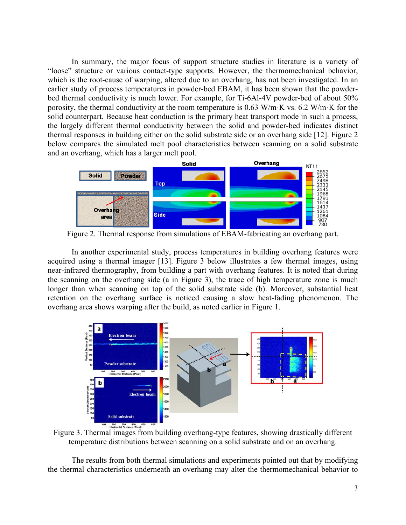In summary, the major focus of support structure studies in literature is a variety of "loose" structure or various contact-type supports. However, the thermomechanical behavior, which is the root-cause of warping, altered due to an overhang, has not been investigated. In an earlier study of process temperatures in powder-bed EBAM, it has been shown that the powderbed thermal conductivity is much lower. For example, for Ti-6Al-4V powder-bed of about 50% porosity, the thermal conductivity at the room temperature is 0.63 W/m·K vs. 6.2 W/m·K for the solid counterpart. Because heat conduction is the primary heat transport mode in such a process, the largely different thermal conductivity between the solid and powder-bed indicates distinct thermal responses in building either on the solid substrate side or an overhang side [12]. Figure 2 below compares the simulated melt pool characteristics between scanning on a solid substrate and an overhang, which has a larger melt pool.



Figure 2. Thermal response from simulations of EBAM-fabricating an overhang part.

In another experimental study, process temperatures in building overhang features were acquired using a thermal imager [13]. Figure 3 below illustrates a few thermal images, using near-infrared thermography, from building a part with overhang features. It is noted that during the scanning on the overhang side (a in Figure 3), the trace of high temperature zone is much longer than when scanning on top of the solid substrate side (b). Moreover, substantial heat retention on the overhang surface is noticed causing a slow heat-fading phenomenon. The overhang area shows warping after the build, as noted earlier in Figure 1.



Figure 3. Thermal images from building overhang-type features, showing drastically different temperature distributions between scanning on a solid substrate and on an overhang.

 The results from both thermal simulations and experiments pointed out that by modifying the thermal characteristics underneath an overhang may alter the thermomechanical behavior to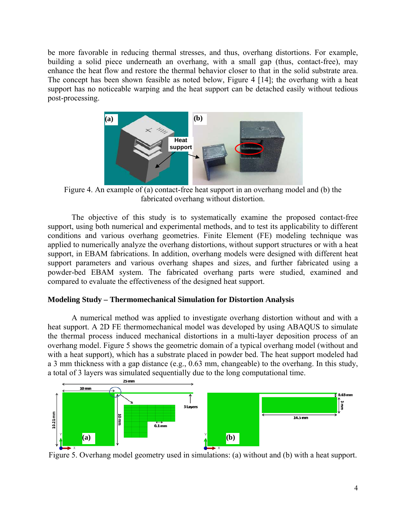be more favorable in reducing thermal stresses, and thus, overhang distortions. For example, building a solid piece underneath an overhang, with a small gap (thus, contact-free), may enhance the heat flow and restore the thermal behavior closer to that in the solid substrate area. The concept has been shown feasible as noted below, Figure 4 [14]; the overhang with a heat support has no noticeable warping and the heat support can be detached easily without tedious post-processing.



Figure 4. An example of (a) contact-free heat support in an overhang model and (b) the fabricated overhang without distortion.

The objective of this study is to systematically examine the proposed contact-free support, using both numerical and experimental methods, and to test its applicability to different conditions and various overhang geometries. Finite Element (FE) modeling technique was applied to numerically analyze the overhang distortions, without support structures or with a heat support, in EBAM fabrications. In addition, overhang models were designed with different heat support parameters and various overhang shapes and sizes, and further fabricated using a powder-bed EBAM system. The fabricated overhang parts were studied, examined and compared to evaluate the effectiveness of the designed heat support.

# **Modeling Study – Thermomechanical Simulation for Distortion Analysis**

A numerical method was applied to investigate overhang distortion without and with a heat support. A 2D FE thermomechanical model was developed by using ABAQUS to simulate the thermal process induced mechanical distortions in a multi-layer deposition process of an overhang model. Figure 5 shows the geometric domain of a typical overhang model (without and with a heat support), which has a substrate placed in powder bed. The heat support modeled had a 3 mm thickness with a gap distance (e.g., 0.63 mm, changeable) to the overhang. In this study, a total of 3 layers was simulated sequentially due to the long computational time.



Figure 5. Overhang model geometry used in simulations: (a) without and (b) with a heat support.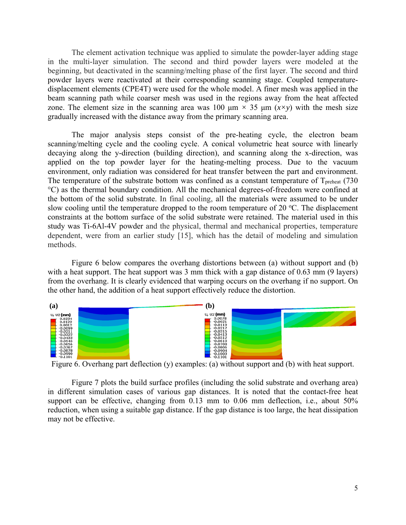The element activation technique was applied to simulate the powder-layer adding stage in the multi-layer simulation. The second and third powder layers were modeled at the beginning, but deactivated in the scanning/melting phase of the first layer. The second and third powder layers were reactivated at their corresponding scanning stage. Coupled temperaturedisplacement elements (CPE4T) were used for the whole model. A finer mesh was applied in the beam scanning path while coarser mesh was used in the regions away from the heat affected zone. The element size in the scanning area was 100  $\mu$ m  $\times$  35  $\mu$ m (*x*×y) with the mesh size gradually increased with the distance away from the primary scanning area.

The major analysis steps consist of the pre-heating cycle, the electron beam scanning/melting cycle and the cooling cycle. A conical volumetric heat source with linearly decaying along the y-direction (building direction), and scanning along the x-direction, was applied on the top powder layer for the heating-melting process. Due to the vacuum environment, only radiation was considered for heat transfer between the part and environment. The temperature of the substrate bottom was confined as a constant temperature of T<sub>preheat</sub> (730) °C) as the thermal boundary condition. All the mechanical degrees-of-freedom were confined at the bottom of the solid substrate. In final cooling, all the materials were assumed to be under slow cooling until the temperature dropped to the room temperature of  $20^{\circ}$ C. The displacement constraints at the bottom surface of the solid substrate were retained. The material used in this study was Ti-6Al-4V powder and the physical, thermal and mechanical properties, temperature dependent, were from an earlier study [15], which has the detail of modeling and simulation methods.

Figure 6 below compares the overhang distortions between (a) without support and (b) with a heat support. The heat support was 3 mm thick with a gap distance of 0.63 mm (9 layers) from the overhang. It is clearly evidenced that warping occurs on the overhang if no support. On the other hand, the addition of a heat support effectively reduce the distortion.



Figure 6. Overhang part deflection (y) examples: (a) without support and (b) with heat support.

 Figure 7 plots the build surface profiles (including the solid substrate and overhang area) in different simulation cases of various gap distances. It is noted that the contact-free heat support can be effective, changing from 0.13 mm to 0.06 mm deflection, i.e., about 50% reduction, when using a suitable gap distance. If the gap distance is too large, the heat dissipation may not be effective.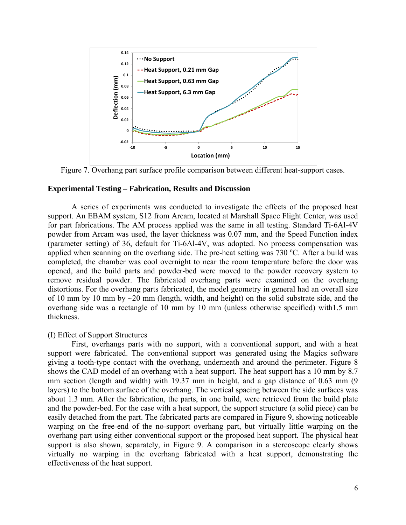

Figure 7. Overhang part surface profile comparison between different heat-support cases.

#### **Experimental Testing – Fabrication, Results and Discussion**

A series of experiments was conducted to investigate the effects of the proposed heat support. An EBAM system, S12 from Arcam, located at Marshall Space Flight Center, was used for part fabrications. The AM process applied was the same in all testing. Standard Ti-6Al-4V powder from Arcam was used, the layer thickness was 0.07 mm, and the Speed Function index (parameter setting) of 36, default for Ti-6Al-4V, was adopted. No process compensation was applied when scanning on the overhang side. The pre-heat setting was  $730$  °C. After a build was completed, the chamber was cool overnight to near the room temperature before the door was opened, and the build parts and powder-bed were moved to the powder recovery system to remove residual powder. The fabricated overhang parts were examined on the overhang distortions. For the overhang parts fabricated, the model geometry in general had an overall size of 10 mm by 10 mm by  $\sim$  20 mm (length, width, and height) on the solid substrate side, and the overhang side was a rectangle of 10 mm by 10 mm (unless otherwise specified) with1.5 mm thickness.

#### (I) Effect of Support Structures

First, overhangs parts with no support, with a conventional support, and with a heat support were fabricated. The conventional support was generated using the Magics software giving a tooth-type contact with the overhang, underneath and around the perimeter. Figure 8 shows the CAD model of an overhang with a heat support. The heat support has a 10 mm by 8.7 mm section (length and width) with 19.37 mm in height, and a gap distance of 0.63 mm (9 layers) to the bottom surface of the overhang. The vertical spacing between the side surfaces was about 1.3 mm. After the fabrication, the parts, in one build, were retrieved from the build plate and the powder-bed. For the case with a heat support, the support structure (a solid piece) can be easily detached from the part. The fabricated parts are compared in Figure 9, showing noticeable warping on the free-end of the no-support overhang part, but virtually little warping on the overhang part using either conventional support or the proposed heat support. The physical heat support is also shown, separately, in Figure 9. A comparison in a stereoscope clearly shows virtually no warping in the overhang fabricated with a heat support, demonstrating the effectiveness of the heat support.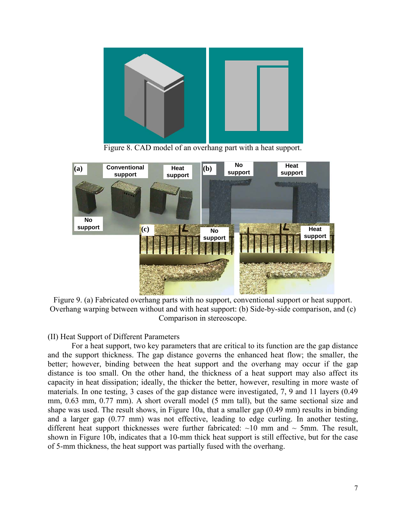

Figure 8. CAD model of an overhang part with a heat support.



Figure 9. (a) Fabricated overhang parts with no support, conventional support or heat support. Overhang warping between without and with heat support: (b) Side-by-side comparison, and (c) Comparison in stereoscope.

# (II) Heat Support of Different Parameters

For a heat support, two key parameters that are critical to its function are the gap distance and the support thickness. The gap distance governs the enhanced heat flow; the smaller, the better; however, binding between the heat support and the overhang may occur if the gap distance is too small. On the other hand, the thickness of a heat support may also affect its capacity in heat dissipation; ideally, the thicker the better, however, resulting in more waste of materials. In one testing, 3 cases of the gap distance were investigated, 7, 9 and 11 layers (0.49 mm, 0.63 mm, 0.77 mm). A short overall model (5 mm tall), but the same sectional size and shape was used. The result shows, in Figure 10a, that a smaller gap (0.49 mm) results in binding and a larger gap (0.77 mm) was not effective, leading to edge curling. In another testing, different heat support thicknesses were further fabricated:  $\sim$ 10 mm and  $\sim$  5mm. The result, shown in Figure 10b, indicates that a 10-mm thick heat support is still effective, but for the case of 5-mm thickness, the heat support was partially fused with the overhang.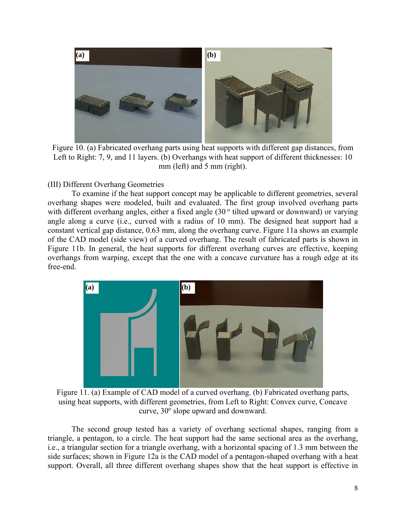

 Figure 10. (a) Fabricated overhang parts using heat supports with different gap distances, from Left to Right: 7, 9, and 11 layers. (b) Overhangs with heat support of different thicknesses: 10 mm (left) and 5 mm (right).

(III) Different Overhang Geometries

To examine if the heat support concept may be applicable to different geometries, several overhang shapes were modeled, built and evaluated. The first group involved overhang parts with different overhang angles, either a fixed angle  $(30<sup>o</sup>$  tilted upward or downward) or varying angle along a curve (i.e., curved with a radius of 10 mm). The designed heat support had a constant vertical gap distance, 0.63 mm, along the overhang curve. Figure 11a shows an example of the CAD model (side view) of a curved overhang. The result of fabricated parts is shown in Figure 11b. In general, the heat supports for different overhang curves are effective, keeping overhangs from warping, except that the one with a concave curvature has a rough edge at its free-end.



Figure 11. (a) Example of CAD model of a curved overhang. (b) Fabricated overhang parts, using heat supports, with different geometries, from Left to Right: Convex curve, Concave curve, 30° slope upward and downward.

The second group tested has a variety of overhang sectional shapes, ranging from a triangle, a pentagon, to a circle. The heat support had the same sectional area as the overhang, i.e., a triangular section for a triangle overhang, with a horizontal spacing of 1.3 mm between the side surfaces; shown in Figure 12a is the CAD model of a pentagon-shaped overhang with a heat support. Overall, all three different overhang shapes show that the heat support is effective in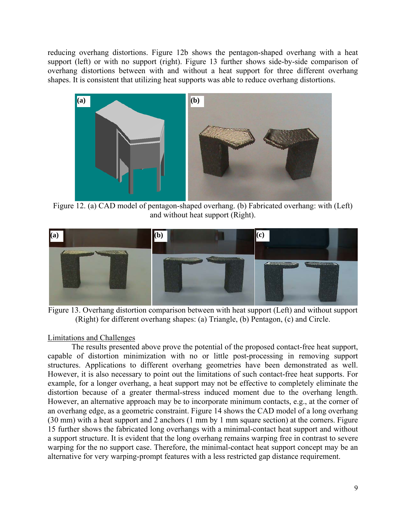reducing overhang distortions. Figure 12b shows the pentagon-shaped overhang with a heat support (left) or with no support (right). Figure 13 further shows side-by-side comparison of overhang distortions between with and without a heat support for three different overhang shapes. It is consistent that utilizing heat supports was able to reduce overhang distortions.



Figure 12. (a) CAD model of pentagon-shaped overhang. (b) Fabricated overhang: with (Left) and without heat support (Right).



Figure 13. Overhang distortion comparison between with heat support (Left) and without support (Right) for different overhang shapes: (a) Triangle, (b) Pentagon, (c) and Circle.

# Limitations and Challenges

The results presented above prove the potential of the proposed contact-free heat support, capable of distortion minimization with no or little post-processing in removing support structures. Applications to different overhang geometries have been demonstrated as well. However, it is also necessary to point out the limitations of such contact-free heat supports. For example, for a longer overhang, a heat support may not be effective to completely eliminate the distortion because of a greater thermal-stress induced moment due to the overhang length. However, an alternative approach may be to incorporate minimum contacts, e.g., at the corner of an overhang edge, as a geometric constraint. Figure 14 shows the CAD model of a long overhang (30 mm) with a heat support and 2 anchors (1 mm by 1 mm square section) at the corners. Figure 15 further shows the fabricated long overhangs with a minimal-contact heat support and without a support structure. It is evident that the long overhang remains warping free in contrast to severe warping for the no support case. Therefore, the minimal-contact heat support concept may be an alternative for very warping-prompt features with a less restricted gap distance requirement.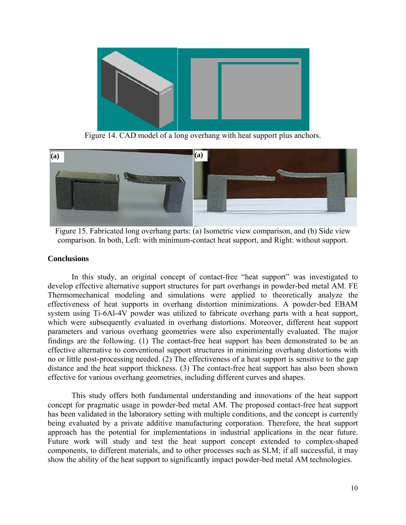

Figure 14. CAD model of a long overhang with heat support plus anchors.



Figure 15. Fabricated long overhang parts: (a) Isometric view comparison, and (b) Side view comparison. In both, Left: with minimum-contact heat support, and Right: without support.

### **Conclusions**

In this study, an original concept of contact-free "heat support" was investigated to develop effective alternative support structures for part overhangs in powder-bed metal AM. FE Thermomechanical modeling and simulations were applied to theoretically analyze the effectiveness of heat supports in overhang distortion minimizations. A powder-bed EBAM system using Ti-6Al-4V powder was utilized to fabricate overhang parts with a heat support, which were subsequently evaluated in overhang distortions. Moreover, different heat support parameters and various overhang geometries were also experimentally evaluated. The major findings are the following. (1) The contact-free heat support has been demonstrated to be an effective alternative to conventional support structures in minimizing overhang distortions with no or little post-processing needed. (2) The effectiveness of a heat support is sensitive to the gap distance and the heat support thickness. (3) The contact-free heat support has also been shown effective for various overhang geometries, including different curves and shapes.

This study offers both fundamental understanding and innovations of the heat support concept for pragmatic usage in powder-bed metal AM. The proposed contact-free heat support has been validated in the laboratory setting with multiple conditions, and the concept is currently being evaluated by a private additive manufacturing corporation. Therefore, the heat support approach has the potential for implementations in industrial applications in the near future. Future work will study and test the heat support concept extended to complex-shaped components, to different materials, and to other processes such as SLM; if all successful, it may show the ability of the heat support to significantly impact powder-bed metal AM technologies.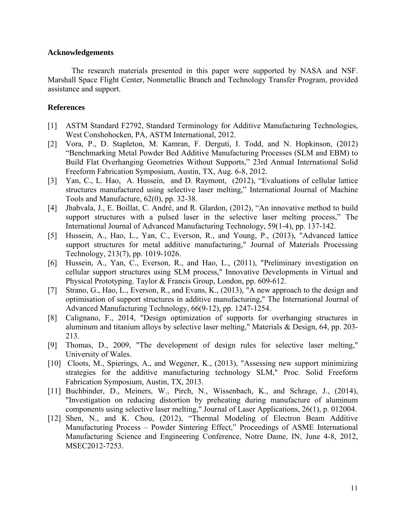#### **Acknowledgements**

The research materials presented in this paper were supported by NASA and NSF. Marshall Space Flight Center, Nonmetallic Branch and Technology Transfer Program, provided assistance and support.

# **References**

- [1] ASTM Standard F2792, Standard Terminology for Additive Manufacturing Technologies, West Conshohocken, PA, ASTM International, 2012.
- [2] Vora, P., D. Stapleton, M. Kamran, F. Derguti, I. Todd, and N. Hopkinson, (2012) "Benchmarking Metal Powder Bed Additive Manufacturing Processes (SLM and EBM) to Build Flat Overhanging Geometries Without Supports," 23rd Annual International Solid Freeform Fabrication Symposium, Austin, TX, Aug. 6-8, 2012.
- [3] Yan, C., L. Hao, A. Hussein, and D. Raymont, (2012), "Evaluations of cellular lattice structures manufactured using selective laser melting," International Journal of Machine Tools and Manufacture, 62(0), pp. 32-38.
- [4] Jhabvala, J., E. Boillat, C. André, and R. Glardon, (2012), "An innovative method to build support structures with a pulsed laser in the selective laser melting process," The International Journal of Advanced Manufacturing Technology, 59(1-4), pp. 137-142.
- [5] Hussein, A., Hao, L., Yan, C., Everson, R., and Young, P., (2013), "Advanced lattice support structures for metal additive manufacturing," Journal of Materials Processing Technology, 213(7), pp. 1019-1026.
- [6] Hussein, A., Yan, C., Everson, R., and Hao, L., (2011), "Preliminary investigation on cellular support structures using SLM process," Innovative Developments in Virtual and Physical Prototyping. Taylor & Francis Group, London, pp. 609-612.
- [7] Strano, G., Hao, L., Everson, R., and Evans, K., (2013), "A new approach to the design and optimisation of support structures in additive manufacturing," The International Journal of Advanced Manufacturing Technology, 66(9-12), pp. 1247-1254.
- [8] Calignano, F., 2014, "Design optimization of supports for overhanging structures in aluminum and titanium alloys by selective laser melting," Materials & Design, 64, pp. 203- 213.
- [9] Thomas, D., 2009, "The development of design rules for selective laser melting," University of Wales.
- [10] Cloots, M., Spierings, A., and Wegener, K., (2013), "Assessing new support minimizing strategies for the additive manufacturing technology SLM," Proc. Solid Freeform Fabrication Symposium, Austin, TX, 2013.
- [11] Buchbinder, D., Meiners, W., Pirch, N., Wissenbach, K., and Schrage, J., (2014), "Investigation on reducing distortion by preheating during manufacture of aluminum components using selective laser melting," Journal of Laser Applications, 26(1), p. 012004.
- [12] Shen, N., and K. Chou, (2012), "Thermal Modeling of Electron Beam Additive Manufacturing Process – Powder Sintering Effect," Proceedings of ASME International Manufacturing Science and Engineering Conference, Notre Dame, IN, June 4-8, 2012, MSEC2012-7253.